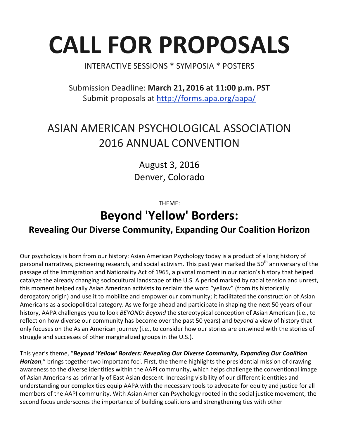# **CALL FOR PROPOSALS**

### INTERACTIVE SESSIONS \* SYMPOSIA \* POSTERS

Submission Deadline: **March 21, 2016 at 11:00 p.m. PST** Submit proposals at http://forms.apa.org/aapa/

# ASIAN AMERICAN PSYCHOLOGICAL ASSOCIATION **2016 ANNUAL CONVENTION**

August 3, 2016 Denver, Colorado

THEME:

## **Beyond 'Yellow' Borders:**

## **Revealing Our Diverse Community, Expanding Our Coalition Horizon**

Our psychology is born from our history: Asian American Psychology today is a product of a long history of personal narratives, pioneering research, and social activism. This past year marked the 50<sup>th</sup> anniversary of the passage of the Immigration and Nationality Act of 1965, a pivotal moment in our nation's history that helped catalyze the already changing sociocultural landscape of the U.S. A period marked by racial tension and unrest, this moment helped rally Asian American activists to reclaim the word "yellow" (from its historically derogatory origin) and use it to mobilize and empower our community; it facilitated the construction of Asian Americans as a sociopolitical category. As we forge ahead and participate in shaping the next 50 years of our history, AAPA challenges you to look *BEYOND*: *Beyond* the stereotypical conception of Asian American (i.e., to reflect on how diverse our community has become over the past 50 years) and *beyond* a view of history that only focuses on the Asian American journey (i.e., to consider how our stories are entwined with the stories of struggle and successes of other marginalized groups in the U.S.).

This year's theme, "Beyond 'Yellow' Borders: Revealing Our Diverse Community, Expanding Our Coalition *Horizon*," brings together two important foci. First, the theme highlights the presidential mission of drawing awareness to the diverse identities within the AAPI community, which helps challenge the conventional image of Asian Americans as primarily of East Asian descent. Increasing visibility of our different identities and understanding our complexities equip AAPA with the necessary tools to advocate for equity and justice for all members of the AAPI community. With Asian American Psychology rooted in the social justice movement, the second focus underscores the importance of building coalitions and strengthening ties with other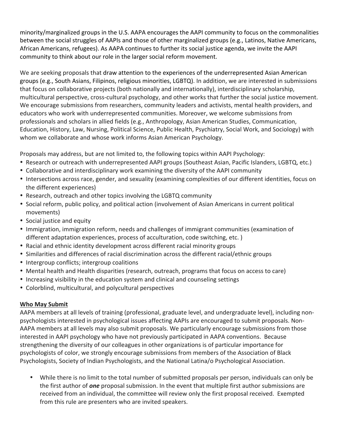minority/marginalized groups in the U.S. AAPA encourages the AAPI community to focus on the commonalities between the social struggles of AAPIs and those of other marginalized groups (e.g., Latinos, Native Americans, African Americans, refugees). As AAPA continues to further its social justice agenda, we invite the AAPI community to think about our role in the larger social reform movement.

We are seeking proposals that draw attention to the experiences of the underrepresented Asian American groups (e.g., South Asians, Filipinos, religious minorities, LGBTQ). In addition, we are interested in submissions that focus on collaborative projects (both nationally and internationally), interdisciplinary scholarship, multicultural perspective, cross-cultural psychology, and other works that further the social justice movement. We encourage submissions from researchers, community leaders and activists, mental health providers, and educators who work with underrepresented communities. Moreover, we welcome submissions from professionals and scholars in allied fields (e.g., Anthropology, Asian American Studies, Communication, Education, History, Law, Nursing, Political Science, Public Health, Psychiatry, Social Work, and Sociology) with whom we collaborate and whose work informs Asian American Psychology.

Proposals may address, but are not limited to, the following topics within AAPI Psychology:

- Research or outreach with underrepresented AAPI groups (Southeast Asian, Pacific Islanders, LGBTQ, etc.)
- Collaborative and interdisciplinary work examining the diversity of the AAPI community
- Intersections across race, gender, and sexuality (examining complexities of our different identities, focus on the different experiences)
- Research, outreach and other topics involving the LGBTQ community
- Social reform, public policy, and political action (involvement of Asian Americans in current political movements)
- Social justice and equity
- Immigration, immigration reform, needs and challenges of immigrant communities (examination of different adaptation experiences, process of acculturation, code switching, etc. )
- Racial and ethnic identity development across different racial minority groups
- Similarities and differences of racial discrimination across the different racial/ethnic groups
- Intergroup conflicts; intergroup coalitions
- Mental health and Health disparities (research, outreach, programs that focus on access to care)
- Increasing visibility in the education system and clinical and counseling settings
- Colorblind, multicultural, and polycultural perspectives

#### **Who May Submit**

AAPA members at all levels of training (professional, graduate level, and undergraduate level), including nonpsychologists interested in psychological issues affecting AAPIs are encouraged to submit proposals. Non-AAPA members at all levels may also submit proposals. We particularly encourage submissions from those interested in AAPI psychology who have not previously participated in AAPA conventions. Because strengthening the diversity of our colleagues in other organizations is of particular importance for psychologists of color, we strongly encourage submissions from members of the Association of Black Psychologists, Society of Indian Psychologists, and the National Latina/o Psychological Association.

• While there is no limit to the total number of submitted proposals per person, individuals can only be the first author of **one** proposal submission. In the event that multiple first author submissions are received from an individual, the committee will review only the first proposal received. Exempted from this rule are presenters who are invited speakers.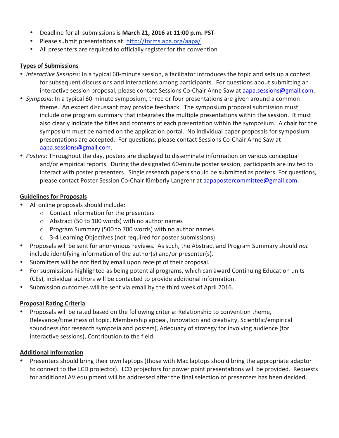- Deadline for all submissions is March 21, 2016 at 11:00 p.m. PST
- Please submit presentations at: http://forms.apa.org/aapa/
- All presenters are required to officially register for the convention

#### **Types of Submissions**

- *Interactive Sessions:* In a typical 60-minute session, a facilitator introduces the topic and sets up a context for subsequent discussions and interactions among participants. For questions about submitting an interactive session proposal, please contact Sessions Co-Chair Anne Saw at aapa.sessions@gmail.com.
- *Symposia:* In a typical 60-minute symposium, three or four presentations are given around a common theme. An expert discussant may provide feedback. The symposium proposal submission must include one program summary that integrates the multiple presentations within the session. It must also clearly indicate the titles and contents of each presentation within the symposium. A chair for the symposium must be named on the application portal. No individual paper proposals for symposium presentations are accepted. For questions, please contact Sessions Co-Chair Anne Saw at aapa.sessions@gmail.com.
- *Posters:* Throughout the day, posters are displayed to disseminate information on various conceptual and/or empirical reports. During the designated 60-minute poster session, participants are invited to interact with poster presenters. Single research papers should be submitted as posters. For questions, please contact Poster Session Co-Chair Kimberly Langrehr at aapapostercommittee@gmail.com.

#### **Guidelines for Proposals**

- All online proposals should include:
	- $\circ$  Contact information for the presenters
	- $\circ$  Abstract (50 to 100 words) with no author names
	- $\circ$  Program Summary (500 to 700 words) with no author names
	- $\circ$  3-4 Learning Objectives (not required for poster submissions)
- Proposals will be sent for anonymous reviews. As such, the Abstract and Program Summary should not  $include$  identifying information of the author(s) and/or presenter(s).
- Submitters will be notified by email upon receipt of their proposal.
- For submissions highlighted as being potential programs, which can award Continuing Education units (CEs), individual authors will be contacted to provide additional information.
- Submission outcomes will be sent via email by the third week of April 2016.

#### **Proposal Rating Criteria**

• Proposals will be rated based on the following criteria: Relationship to convention theme, Relevance/timeliness of topic, Membership appeal, Innovation and creativity, Scientific/empirical soundness (for research symposia and posters), Adequacy of strategy for involving audience (for interactive sessions), Contribution to the field.

#### **Additional Information**

Presenters should bring their own laptops (those with Mac laptops should bring the appropriate adaptor to connect to the LCD projector). LCD projectors for power point presentations will be provided. Requests for additional AV equipment will be addressed after the final selection of presenters has been decided.